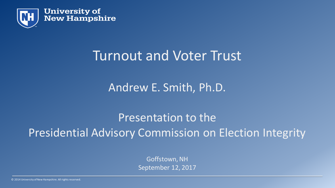

# Turnout and Voter Trust

#### Andrew E. Smith, Ph.D.

Presentation to the Presidential Advisory Commission on Election Integrity

> Goffstown, NH September 12, 2017

© 2014 University of New Hampshire. All rights reserved.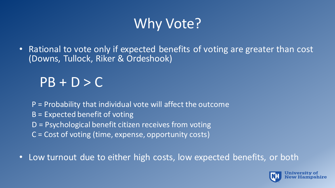# Why Vote?

• Rational to vote only if expected benefits of voting are greater than cost (Downs, Tullock, Riker & Ordeshook)

# $PB + D > C$

- P = Probability that individual vote will affect the outcome
- B = Expected benefit of voting
- D = Psychological benefit citizen receives from voting
- C = Cost of voting (time, expense, opportunity costs)
- Low turnout due to either high costs, low expected benefits, or both

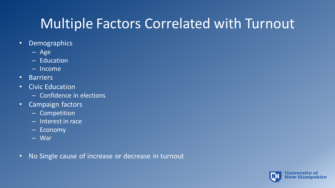# Multiple Factors Correlated with Turnout

- Demographics
	- Age
	- Education
	- Income
- Barriers
- Civic Education
	- Confidence in elections
- Campaign factors
	- Competition
	- Interest in race
	- Economy
	- War
- No Single cause of increase or decrease in turnout

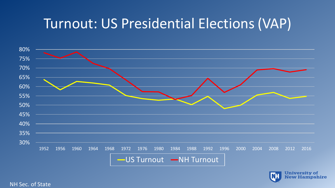# Turnout: US Presidential Elections (VAP)





#### NH Sec. of State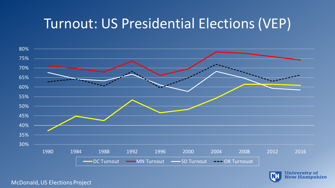# Turnout: US Presidential Elections (VEP)





**University of New Hampshire** 

#### McDonald, US Elections Project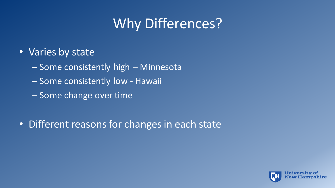# Why Differences?

- Varies by state
	- Some consistently high Minnesota
	- Some consistently low Hawaii
	- Some change over time
- Different reasons for changes in each state

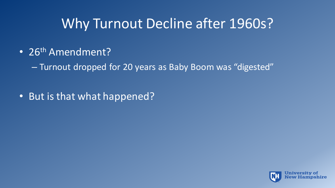# Why Turnout Decline after 1960s?

• 26<sup>th</sup> Amendment?

– Turnout dropped for 20 years as Baby Boom was "digested"

• But is that what happened?

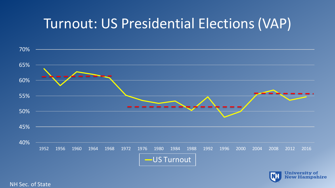# Turnout: US Presidential Elections (VAP)





NH Sec. of State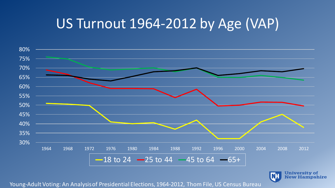# US Turnout 1964-2012 by Age (VAP)



**University of** IМ **New Hampshire** 

Young-Adult Voting: An Analysis of Presidential Elections, 1964-2012, Thom File, US Census Bureau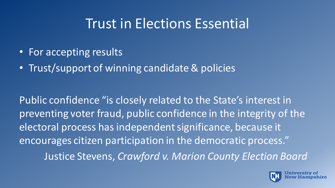# Trust in Elections Essential

- For accepting results
- Trust/support of winning candidate & policies

Public confidence "is closely related to the State's interest in preventing voter fraud, public confidence in the integrity of the electoral process has independent significance, because it encourages citizen participation in the democratic process." Justice Stevens, *Crawford v. Marion County Election Board*

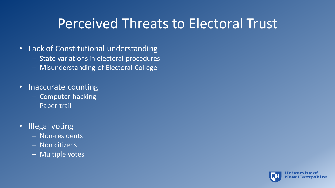# Perceived Threats to Electoral Trust

- Lack of Constitutional understanding
	- State variations in electoral procedures
	- Misunderstanding of Electoral College
- Inaccurate counting
	- Computer hacking
	- Paper trail
- Illegal voting
	- Non-residents
	- Non citizens
	- Multiple votes

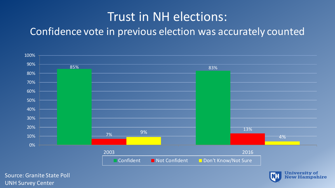#### Trust in NH elections: Confidence vote in previous election was accurately counted



Source: Granite State Poll UNH Survey Center

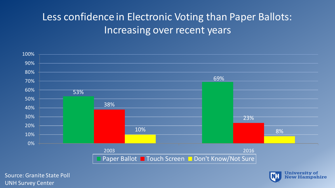#### Less confidence in Electronic Voting than Paper Ballots: Increasing over recent years



Source: Granite State Poll UNH Survey Center

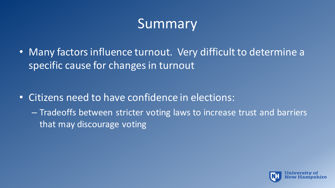# Summary

• Many factors influence turnout. Very difficult to determine a specific cause for changes in turnout

- Citizens need to have confidence in elections:
	- Tradeoffs between stricter voting laws to increase trust and barriers that may discourage voting